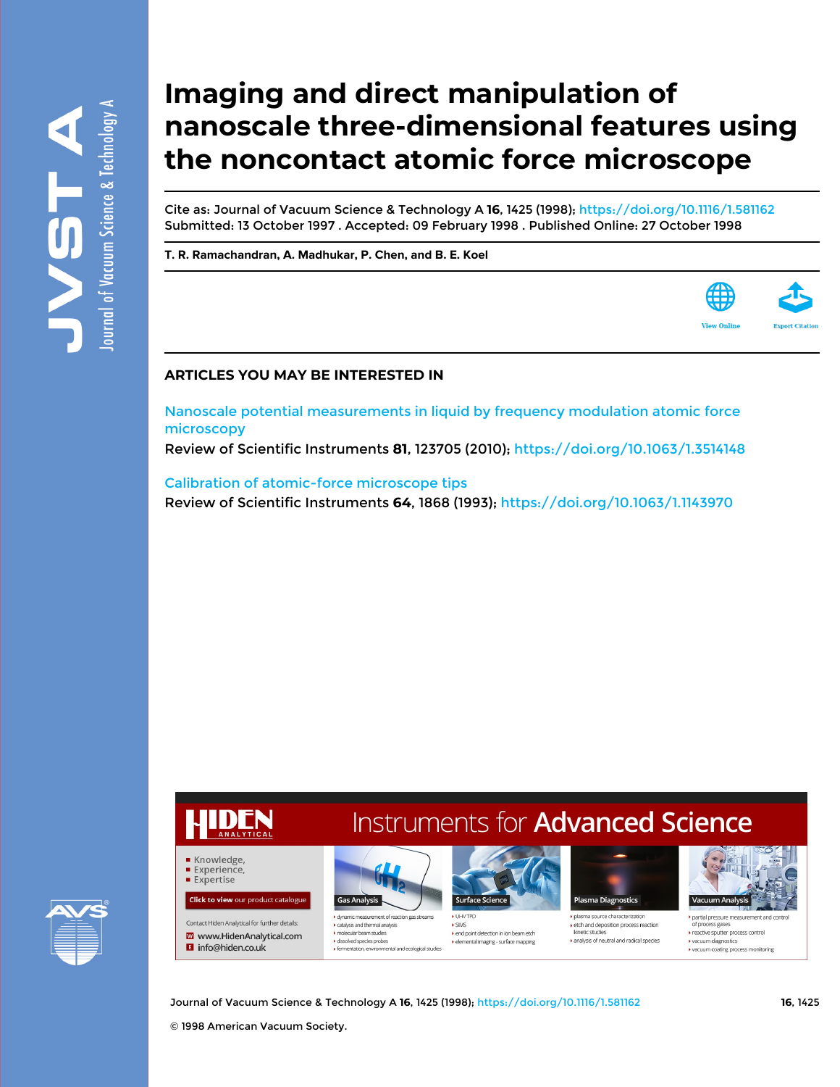# **Imaging and direct manipulation of nanoscale three-dimensional features using the noncontact atomic force microscope**

Cite as: Journal of Vacuum Science & Technology A **16**, 1425 (1998);<https://doi.org/10.1116/1.581162> Submitted: 13 October 1997 . Accepted: 09 February 1998 . Published Online: 27 October 1998

**[T. R. Ramachandran,](https://avs.scitation.org/author/Ramachandran%2C+T+R) [A. Madhukar,](https://avs.scitation.org/author/Madhukar%2C+A) [P. Chen](https://avs.scitation.org/author/Chen%2C+P), and [B. E. Koel](https://avs.scitation.org/author/Koel%2C+B+E)**



[Nanoscale potential measurements in liquid by frequency modulation atomic force](https://avs.scitation.org/doi/10.1063/1.3514148) [microscopy](https://avs.scitation.org/doi/10.1063/1.3514148)

Review of Scientific Instruments **81**, 123705 (2010); <https://doi.org/10.1063/1.3514148>

[Calibration of atomic-force microscope tips](https://avs.scitation.org/doi/10.1063/1.1143970) Review of Scientific Instruments **64**, 1868 (1993);<https://doi.org/10.1063/1.1143970>



# **Instruments for Advanced Science**



dynamic measurement of reaction gas strea  $\blacktriangleright$  catalysis and thermal analysis molecular beam studies dissolved species probe ▶ fermentation, environmental and ecological studies



 $\blacktriangleright$  SIMS ▶ end point detection in ion beam etch tal imaging - surface mapping



 $\blacktriangleright$  etch and deposition process reaction kinetic studies analysis of neutral and radical species



partial pressure measurement and co of process gases reactive sputter process control vacuum diagnost vacuum coating process monitoring

Journal of Vacuum Science & Technology A **16**, 1425 (1998); <https://doi.org/10.1116/1.581162> **16**, 1425

© 1998 American Vacuum Society.

Knowledge, Experience, **Expertise** 

**Click to view our product catalogue** 

Contact Hiden Analytical for further details:

W www.HidenAnalytical.com

**El** info@hiden.co.uk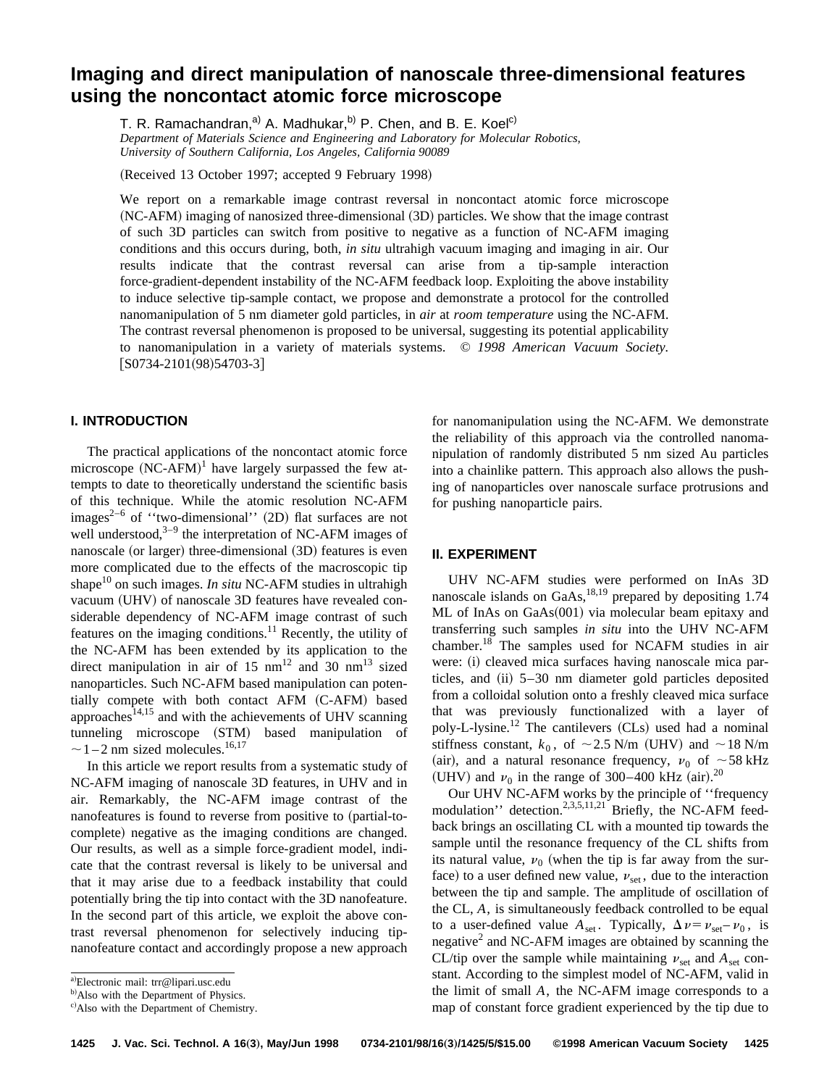# **Imaging and direct manipulation of nanoscale three-dimensional features using the noncontact atomic force microscope**

T. R. Ramachandran,<sup>a)</sup> A. Madhukar,<sup>b)</sup> P. Chen, and B. E. Koel<sup>c)</sup> *Department of Materials Science and Engineering and Laboratory for Molecular Robotics, University of Southern California, Los Angeles, California 90089*

(Received 13 October 1997; accepted 9 February 1998)

We report on a remarkable image contrast reversal in noncontact atomic force microscope  $(NC-AFM)$  imaging of nanosized three-dimensional  $(3D)$  particles. We show that the image contrast of such 3D particles can switch from positive to negative as a function of NC-AFM imaging conditions and this occurs during, both, *in situ* ultrahigh vacuum imaging and imaging in air. Our results indicate that the contrast reversal can arise from a tip-sample interaction force-gradient-dependent instability of the NC-AFM feedback loop. Exploiting the above instability to induce selective tip-sample contact, we propose and demonstrate a protocol for the controlled nanomanipulation of 5 nm diameter gold particles, in *air* at *room temperature* using the NC-AFM. The contrast reversal phenomenon is proposed to be universal, suggesting its potential applicability to nanomanipulation in a variety of materials systems. © *1998 American Vacuum Society.*  $[$ S0734-2101(98)54703-3]

# **I. INTRODUCTION**

The practical applications of the noncontact atomic force microscope  $(NC-AFM)^1$  have largely surpassed the few attempts to date to theoretically understand the scientific basis of this technique. While the atomic resolution NC-AFM images<sup>2–6</sup> of "two-dimensional" (2D) flat surfaces are not well understood, $3-9$  the interpretation of NC-AFM images of nanoscale (or larger) three-dimensional (3D) features is even more complicated due to the effects of the macroscopic tip shape<sup>10</sup> on such images. *In situ* NC-AFM studies in ultrahigh vacuum (UHV) of nanoscale 3D features have revealed considerable dependency of NC-AFM image contrast of such features on the imaging conditions.<sup>11</sup> Recently, the utility of the NC-AFM has been extended by its application to the direct manipulation in air of 15  $nm^{12}$  and 30  $nm^{13}$  sized nanoparticles. Such NC-AFM based manipulation can potentially compete with both contact AFM (C-AFM) based approaches $14,15$  and with the achievements of UHV scanning tunneling microscope (STM) based manipulation of  $\sim$  1 – 2 nm sized molecules.<sup>16,17</sup>

In this article we report results from a systematic study of NC-AFM imaging of nanoscale 3D features, in UHV and in air. Remarkably, the NC-AFM image contrast of the nanofeatures is found to reverse from positive to (partial-tocomplete) negative as the imaging conditions are changed. Our results, as well as a simple force-gradient model, indicate that the contrast reversal is likely to be universal and that it may arise due to a feedback instability that could potentially bring the tip into contact with the 3D nanofeature. In the second part of this article, we exploit the above contrast reversal phenomenon for selectively inducing tipnanofeature contact and accordingly propose a new approach for nanomanipulation using the NC-AFM. We demonstrate the reliability of this approach via the controlled nanomanipulation of randomly distributed 5 nm sized Au particles into a chainlike pattern. This approach also allows the pushing of nanoparticles over nanoscale surface protrusions and for pushing nanoparticle pairs.

## **II. EXPERIMENT**

UHV NC-AFM studies were performed on InAs 3D nanoscale islands on  $GaAs$ ,<sup>18,19</sup> prepared by depositing 1.74  $ML$  of InAs on GaAs $(001)$  via molecular beam epitaxy and transferring such samples *in situ* into the UHV NC-AFM chamber.18 The samples used for NCAFM studies in air were: (i) cleaved mica surfaces having nanoscale mica particles, and  $(ii)$  5–30 nm diameter gold particles deposited from a colloidal solution onto a freshly cleaved mica surface that was previously functionalized with a layer of poly-L-lysine.<sup>12</sup> The cantilevers  $(CLs)$  used had a nominal stiffness constant,  $k_0$ , of  $\sim$  2.5 N/m (UHV) and  $\sim$  18 N/m (air), and a natural resonance frequency,  $v_0$  of  $\sim$  58 kHz (UHV) and  $\nu_0$  in the range of 300–400 kHz (air).<sup>20</sup>

Our UHV NC-AFM works by the principle of ''frequency modulation'' detection.<sup>2,3,5,11,21</sup> Briefly, the NC-AFM feedback brings an oscillating CL with a mounted tip towards the sample until the resonance frequency of the CL shifts from its natural value,  $v_0$  (when the tip is far away from the surface) to a user defined new value,  $v_{\text{set}}$ , due to the interaction between the tip and sample. The amplitude of oscillation of the CL, *A*, is simultaneously feedback controlled to be equal to a user-defined value  $A_{\text{set}}$ . Typically,  $\Delta v = v_{\text{set}} - v_0$ , is negative<sup>2</sup> and NC-AFM images are obtained by scanning the CL/tip over the sample while maintaining  $v_{\text{set}}$  and  $A_{\text{set}}$  constant. According to the simplest model of NC-AFM, valid in the limit of small *A*, the NC-AFM image corresponds to a map of constant force gradient experienced by the tip due to

a)Electronic mail: trr@lipari.usc.edu

<sup>&</sup>lt;sup>b)</sup>Also with the Department of Physics.

c) Also with the Department of Chemistry.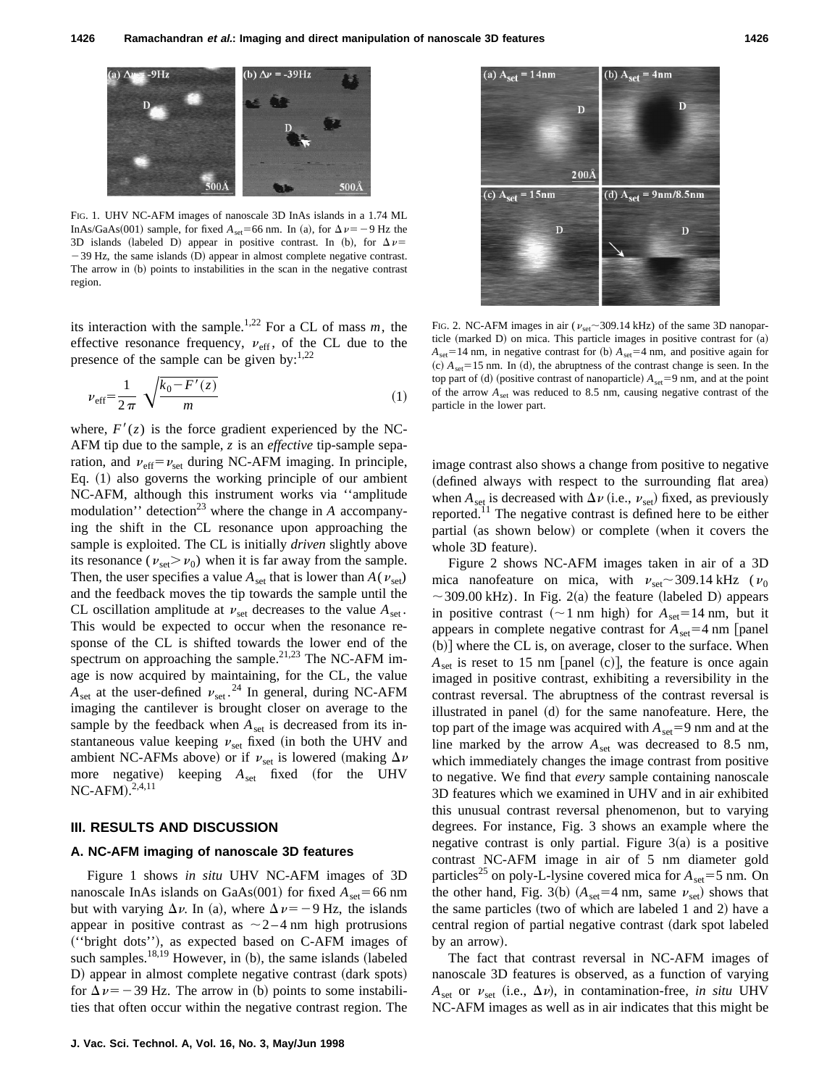

FIG. 1. UHV NC-AFM images of nanoscale 3D InAs islands in a 1.74 ML InAs/GaAs(001) sample, for fixed  $A_{set}$ =66 nm. In (a), for  $\Delta \nu$  = -9 Hz the 3D islands (labeled D) appear in positive contrast. In (b), for  $\Delta v =$  $-39$  Hz, the same islands (D) appear in almost complete negative contrast. The arrow in (b) points to instabilities in the scan in the negative contrast region.

its interaction with the sample.<sup>1,22</sup> For a CL of mass  $m$ , the effective resonance frequency,  $v_{\text{eff}}$ , of the CL due to the presence of the sample can be given by: $1,22$ 

$$
\nu_{\rm eff} = \frac{1}{2\pi} \sqrt{\frac{k_0 - F'(z)}{m}}
$$
 (1)

where,  $F'(z)$  is the force gradient experienced by the NC-AFM tip due to the sample, *z* is an *effective* tip-sample separation, and  $v_{\text{eff}} = v_{\text{set}}$  during NC-AFM imaging. In principle, Eq.  $(1)$  also governs the working principle of our ambient NC-AFM, although this instrument works via ''amplitude modulation'' detection<sup>23</sup> where the change in  $A$  accompanying the shift in the CL resonance upon approaching the sample is exploited. The CL is initially *driven* slightly above its resonance ( $v_{\text{set}} > v_0$ ) when it is far away from the sample. Then, the user specifies a value  $A_{\text{set}}$  that is lower than  $A(v_{\text{set}})$ and the feedback moves the tip towards the sample until the CL oscillation amplitude at  $v_{\text{set}}$  decreases to the value  $A_{\text{set}}$ . This would be expected to occur when the resonance response of the CL is shifted towards the lower end of the spectrum on approaching the sample. $21,23$  The NC-AFM image is now acquired by maintaining, for the CL, the value  $A_{\text{set}}$  at the user-defined  $v_{\text{set}}$ .<sup>24</sup> In general, during NC-AFM imaging the cantilever is brought closer on average to the sample by the feedback when  $A_{set}$  is decreased from its instantaneous value keeping  $v_{\text{set}}$  fixed (in both the UHV and ambient NC-AFMs above) or if  $v_{\text{set}}$  is lowered (making  $\Delta v$ more negative) keeping  $A_{set}$  fixed (for the UHV  $NC-AFM$ ).<sup>2,4,11</sup>

#### **III. RESULTS AND DISCUSSION**

### **A. NC-AFM imaging of nanoscale 3D features**

Figure 1 shows *in situ* UHV NC-AFM images of 3D nanoscale InAs islands on GaAs $(001)$  for fixed  $A_{\text{set}}$ =66 nm but with varying  $\Delta \nu$ . In (a), where  $\Delta \nu = -9$  Hz, the islands appear in positive contrast as  $\sim$  2-4 nm high protrusions ~''bright dots''!, as expected based on C-AFM images of such samples.<sup>18,19</sup> However, in  $(b)$ , the same islands (labeled D) appear in almost complete negative contrast (dark spots) for  $\Delta \nu = -39$  Hz. The arrow in (b) points to some instabilities that often occur within the negative contrast region. The



FIG. 2. NC-AFM images in air ( $v_{\text{set}}$  ~309.14 kHz) of the same 3D nanoparticle (marked D) on mica. This particle images in positive contrast for (a)  $A_{\text{set}}=14 \text{ nm}$ , in negative contrast for (b)  $A_{\text{set}}=4 \text{ nm}$ , and positive again for  $\alpha$  (c)  $A_{\text{set}}$  = 15 nm. In (d), the abruptness of the contrast change is seen. In the top part of (d) (positive contrast of nanoparticle)  $A_{\text{set}}=9$  nm, and at the point of the arrow *A*set was reduced to 8.5 nm, causing negative contrast of the particle in the lower part.

image contrast also shows a change from positive to negative (defined always with respect to the surrounding flat area) when  $A_{\text{set}}$  is decreased with  $\Delta \nu$  (i.e.,  $\nu_{\text{set}}$ ) fixed, as previously reported.<sup>11</sup> The negative contrast is defined here to be either partial (as shown below) or complete (when it covers the whole 3D feature).

Figure 2 shows NC-AFM images taken in air of a 3D mica nanofeature on mica, with  $v_{\text{set}} \sim 309.14 \text{ kHz}$  ( $v_0$ )  $\sim$  309.00 kHz). In Fig. 2(a) the feature (labeled D) appears in positive contrast ( $\sim$ 1 nm high) for  $A_{\text{set}}$ =14 nm, but it appears in complete negative contrast for  $A_{set} = 4$  nm [panel  $(b)$  where the CL is, on average, closer to the surface. When  $A_{\text{set}}$  is reset to 15 nm [panel (c)], the feature is once again imaged in positive contrast, exhibiting a reversibility in the contrast reversal. The abruptness of the contrast reversal is illustrated in panel  $(d)$  for the same nanofeature. Here, the top part of the image was acquired with  $A_{\text{set}}=9$  nm and at the line marked by the arrow  $A_{\text{set}}$  was decreased to 8.5 nm, which immediately changes the image contrast from positive to negative. We find that *every* sample containing nanoscale 3D features which we examined in UHV and in air exhibited this unusual contrast reversal phenomenon, but to varying degrees. For instance, Fig. 3 shows an example where the negative contrast is only partial. Figure  $3(a)$  is a positive contrast NC-AFM image in air of 5 nm diameter gold particles<sup>25</sup> on poly-L-lysine covered mica for  $A_{\text{set}}=5$  nm. On the other hand, Fig. 3(b)  $(A<sub>set</sub>=4 nm, same v<sub>set</sub>)$  shows that the same particles (two of which are labeled 1 and 2) have a central region of partial negative contrast (dark spot labeled by an arrow).

The fact that contrast reversal in NC-AFM images of nanoscale 3D features is observed, as a function of varying  $A_{\text{set}}$  or  $v_{\text{set}}$  (i.e.,  $\Delta v$ ), in contamination-free, *in situ* UHV NC-AFM images as well as in air indicates that this might be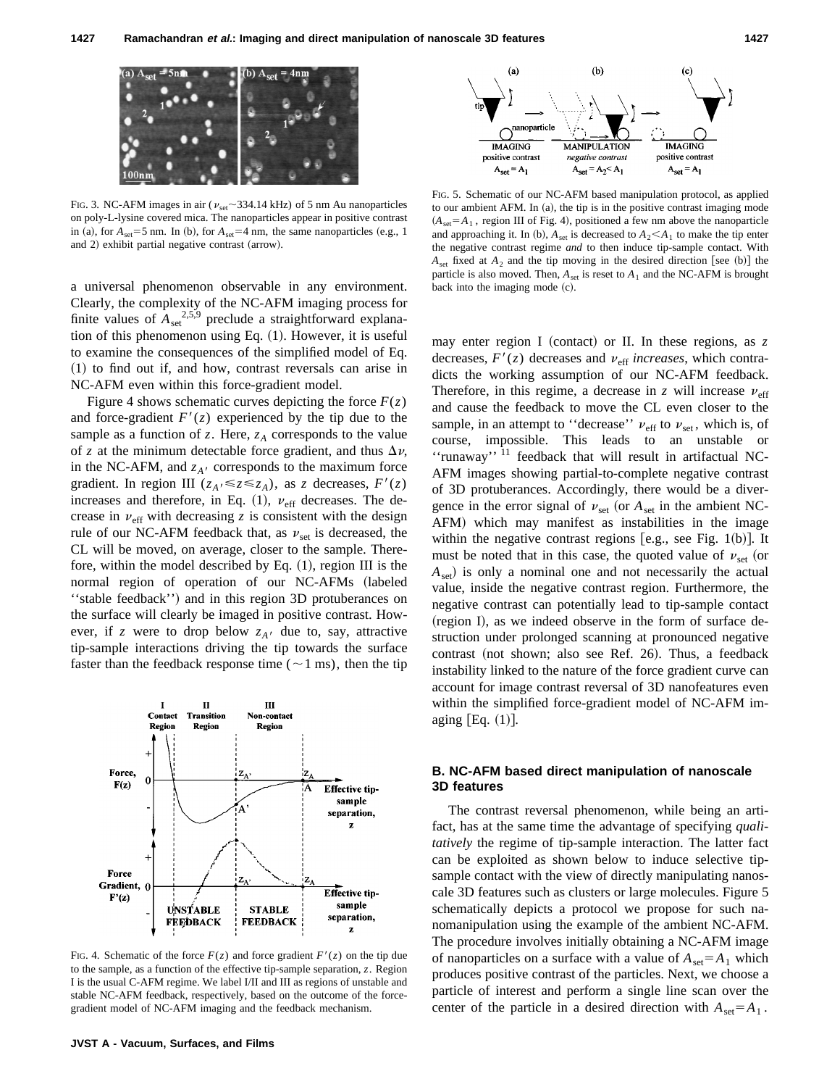

FIG. 3. NC-AFM images in air ( $v_{\text{set}}$  ~334.14 kHz) of 5 nm Au nanoparticles on poly-L-lysine covered mica. The nanoparticles appear in positive contrast in (a), for  $A_{set} = 5$  nm. In (b), for  $A_{set} = 4$  nm, the same nanoparticles (e.g., 1) and 2) exhibit partial negative contrast (arrow).

a universal phenomenon observable in any environment. Clearly, the complexity of the NC-AFM imaging process for finite values of  $A_{\text{set}}^{2,5,9}$  preclude a straightforward explanation of this phenomenon using Eq.  $(1)$ . However, it is useful to examine the consequences of the simplified model of Eq.  $(1)$  to find out if, and how, contrast reversals can arise in NC-AFM even within this force-gradient model.

Figure 4 shows schematic curves depicting the force  $F(z)$ and force-gradient  $F'(z)$  experienced by the tip due to the sample as a function of  $z$ . Here,  $z_A$  corresponds to the value of *z* at the minimum detectable force gradient, and thus  $\Delta v$ , in the NC-AFM, and  $z_{A}$  corresponds to the maximum force gradient. In region III ( $z_A \le z \le z_A$ ), as *z* decreases,  $F'(z)$ increases and therefore, in Eq.  $(1)$ ,  $v_{\text{eff}}$  decreases. The decrease in  $v_{\text{eff}}$  with decreasing *z* is consistent with the design rule of our NC-AFM feedback that, as  $v_{\text{set}}$  is decreased, the CL will be moved, on average, closer to the sample. Therefore, within the model described by Eq.  $(1)$ , region III is the normal region of operation of our NC-AFMs (labeled "stable feedback") and in this region 3D protuberances on the surface will clearly be imaged in positive contrast. However, if *z* were to drop below  $z_A$  due to, say, attractive tip-sample interactions driving the tip towards the surface faster than the feedback response time ( $\sim$  1 ms), then the tip



FIG. 4. Schematic of the force  $F(z)$  and force gradient  $F'(z)$  on the tip due to the sample, as a function of the effective tip-sample separation, *z*. Region I is the usual C-AFM regime. We label I/II and III as regions of unstable and stable NC-AFM feedback, respectively, based on the outcome of the forcegradient model of NC-AFM imaging and the feedback mechanism.



FIG. 5. Schematic of our NC-AFM based manipulation protocol, as applied to our ambient AFM. In  $(a)$ , the tip is in the positive contrast imaging mode  $(A<sub>set</sub>=A<sub>1</sub>$ , region III of Fig. 4), positioned a few nm above the nanoparticle and approaching it. In (b),  $A_{set}$  is decreased to  $A_2 \leq A_1$  to make the tip enter the negative contrast regime *and* to then induce tip-sample contact. With  $A_{set}$  fixed at  $A_2$  and the tip moving in the desired direction [see (b)] the particle is also moved. Then,  $A_{\text{set}}$  is reset to  $A_1$  and the NC-AFM is brought back into the imaging mode  $(c)$ .

may enter region I (contact) or II. In these regions, as  $z$ decreases,  $F'(z)$  decreases and  $v_{\text{eff}}$  *increases*, which contradicts the working assumption of our NC-AFM feedback. Therefore, in this regime, a decrease in *z* will increase  $\nu_{\text{eff}}$ and cause the feedback to move the CL even closer to the sample, in an attempt to "decrease"  $v_{\text{eff}}$  to  $v_{\text{set}}$ , which is, of course, impossible. This leads to an unstable or ''runaway'' <sup>11</sup> feedback that will result in artifactual NC-AFM images showing partial-to-complete negative contrast of 3D protuberances. Accordingly, there would be a divergence in the error signal of  $v_{\text{set}}$  (or  $A_{\text{set}}$  in the ambient NC-AFM) which may manifest as instabilities in the image within the negative contrast regions [e.g., see Fig. 1(b)]. It must be noted that in this case, the quoted value of  $v_{\text{set}}$  (or  $A_{set}$ ) is only a nominal one and not necessarily the actual value, inside the negative contrast region. Furthermore, the negative contrast can potentially lead to tip-sample contact  $(r_{\rm{region}})$  I), as we indeed observe in the form of surface destruction under prolonged scanning at pronounced negative contrast (not shown; also see Ref. 26). Thus, a feedback instability linked to the nature of the force gradient curve can account for image contrast reversal of 3D nanofeatures even within the simplified force-gradient model of NC-AFM imaging  $[Eq. (1)].$ 

# **B. NC-AFM based direct manipulation of nanoscale 3D features**

The contrast reversal phenomenon, while being an artifact, has at the same time the advantage of specifying *qualitatively* the regime of tip-sample interaction. The latter fact can be exploited as shown below to induce selective tipsample contact with the view of directly manipulating nanoscale 3D features such as clusters or large molecules. Figure 5 schematically depicts a protocol we propose for such nanomanipulation using the example of the ambient NC-AFM. The procedure involves initially obtaining a NC-AFM image of nanoparticles on a surface with a value of  $A_{\text{set}} = A_1$  which produces positive contrast of the particles. Next, we choose a particle of interest and perform a single line scan over the center of the particle in a desired direction with  $A_{set} = A_1$ .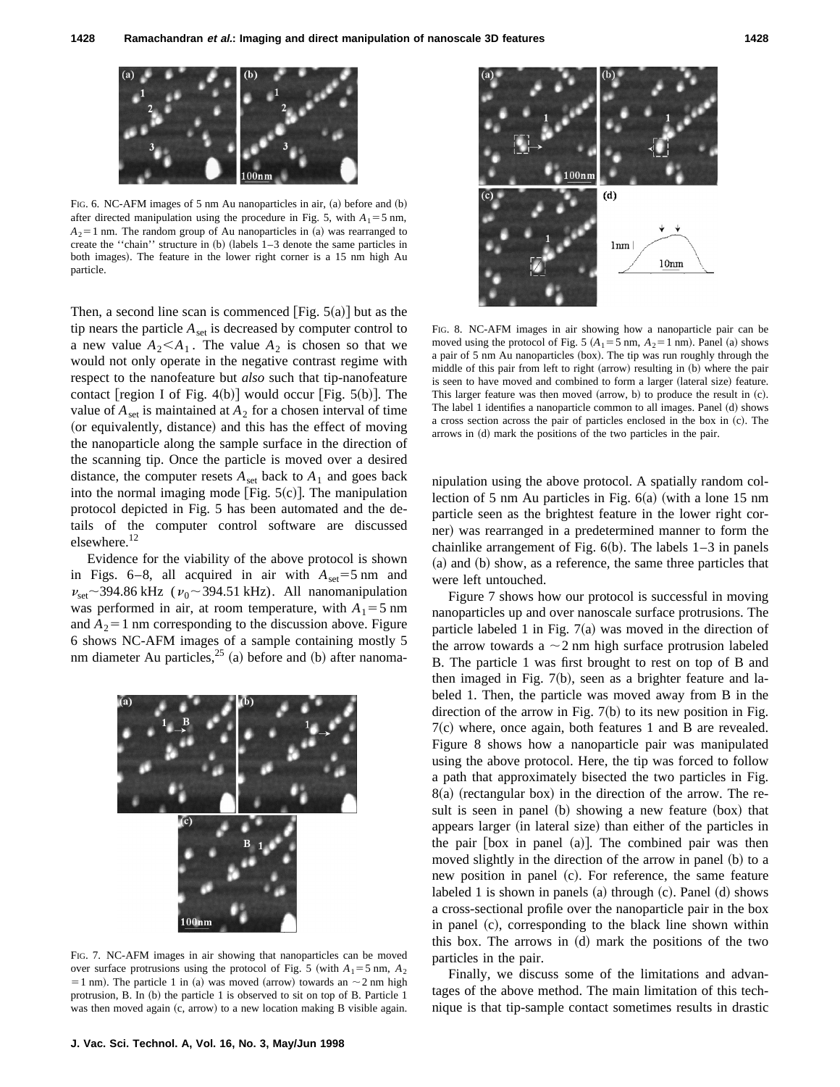

FIG. 6. NC-AFM images of 5 nm Au nanoparticles in air,  $(a)$  before and  $(b)$ after directed manipulation using the procedure in Fig. 5, with  $A_1 = 5$  nm,  $A_2$ =1 nm. The random group of Au nanoparticles in (a) was rearranged to create the "chain" structure in  $(b)$  (labels  $1-3$  denote the same particles in both images). The feature in the lower right corner is a 15 nm high Au particle.

Then, a second line scan is commenced  $[Fig. 5(a)]$  but as the tip nears the particle  $A_{\text{set}}$  is decreased by computer control to a new value  $A_2 < A_1$ . The value  $A_2$  is chosen so that we would not only operate in the negative contrast regime with respect to the nanofeature but *also* such that tip-nanofeature contact [region I of Fig. 4(b)] would occur [Fig.  $5(b)$ ]. The value of  $A_{set}$  is maintained at  $A_2$  for a chosen interval of time (or equivalently, distance) and this has the effect of moving the nanoparticle along the sample surface in the direction of the scanning tip. Once the particle is moved over a desired distance, the computer resets  $A_{\text{set}}$  back to  $A_1$  and goes back into the normal imaging mode [Fig.  $5(c)$ ]. The manipulation protocol depicted in Fig. 5 has been automated and the details of the computer control software are discussed elsewhere.<sup>12</sup>

Evidence for the viability of the above protocol is shown in Figs.  $6-8$ , all acquired in air with  $A_{\text{set}}=5$  nm and  $\nu_{\text{set}}$  ~394.86 kHz ( $\nu_0$  ~394.51 kHz). All nanomanipulation was performed in air, at room temperature, with  $A_1 = 5$  nm and  $A_2$ =1 nm corresponding to the discussion above. Figure 6 shows NC-AFM images of a sample containing mostly 5 nm diameter Au particles,  $25$  (a) before and (b) after nanoma-



FIG. 7. NC-AFM images in air showing that nanoparticles can be moved over surface protrusions using the protocol of Fig. 5 (with  $A_1 = 5$  nm,  $A_2$ ) = 1 nm). The particle 1 in (a) was moved (arrow) towards an  $\sim$  2 nm high protrusion, B. In  $(b)$  the particle 1 is observed to sit on top of B. Particle 1 was then moved again (c, arrow) to a new location making B visible again.



FIG. 8. NC-AFM images in air showing how a nanoparticle pair can be moved using the protocol of Fig. 5  $(A_1 = 5 \text{ nm}, A_2 = 1 \text{ nm})$ . Panel (a) shows a pair of 5 nm Au nanoparticles (box). The tip was run roughly through the middle of this pair from left to right (arrow) resulting in (b) where the pair is seen to have moved and combined to form a larger (lateral size) feature. This larger feature was then moved  $\alpha$ , b) to produce the result in  $\alpha$ . The label 1 identifies a nanoparticle common to all images. Panel  $(d)$  shows a cross section across the pair of particles enclosed in the box in  $(c)$ . The arrows in  $(d)$  mark the positions of the two particles in the pair.

nipulation using the above protocol. A spatially random collection of 5 nm Au particles in Fig.  $6(a)$  (with a lone 15 nm particle seen as the brightest feature in the lower right corner) was rearranged in a predetermined manner to form the chainlike arrangement of Fig.  $6(b)$ . The labels  $1-3$  in panels (a) and (b) show, as a reference, the same three particles that were left untouched.

Figure 7 shows how our protocol is successful in moving nanoparticles up and over nanoscale surface protrusions. The particle labeled 1 in Fig.  $7(a)$  was moved in the direction of the arrow towards a  $\sim$  2 nm high surface protrusion labeled B. The particle 1 was first brought to rest on top of B and then imaged in Fig.  $7(b)$ , seen as a brighter feature and labeled 1. Then, the particle was moved away from B in the direction of the arrow in Fig.  $7(b)$  to its new position in Fig.  $7(c)$  where, once again, both features 1 and B are revealed. Figure 8 shows how a nanoparticle pair was manipulated using the above protocol. Here, the tip was forced to follow a path that approximately bisected the two particles in Fig.  $8(a)$  (rectangular box) in the direction of the arrow. The result is seen in panel (b) showing a new feature (box) that appears larger (in lateral size) than either of the particles in the pair  $[box in panel (a)].$  The combined pair was then moved slightly in the direction of the arrow in panel  $(b)$  to a new position in panel (c). For reference, the same feature labeled 1 is shown in panels  $(a)$  through  $(c)$ . Panel  $(d)$  shows a cross-sectional profile over the nanoparticle pair in the box in panel (c), corresponding to the black line shown within this box. The arrows in  $(d)$  mark the positions of the two particles in the pair.

Finally, we discuss some of the limitations and advantages of the above method. The main limitation of this technique is that tip-sample contact sometimes results in drastic